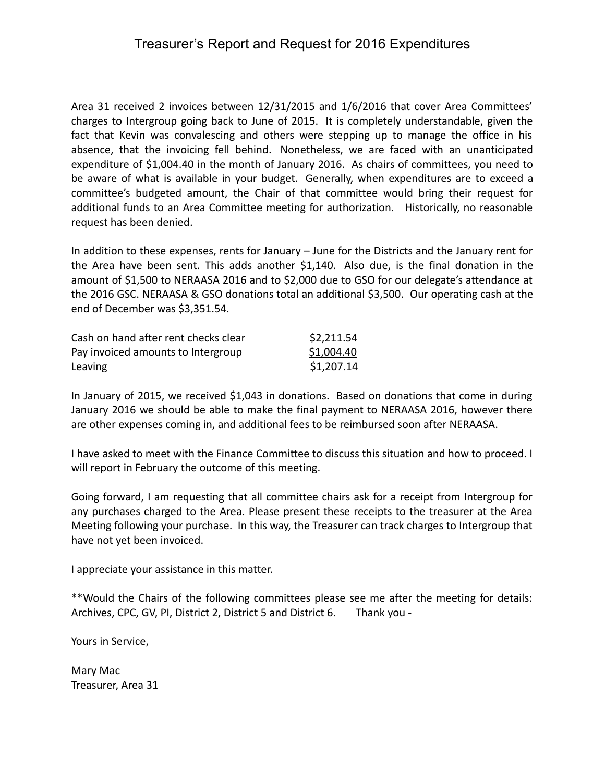## Treasurer's Report and Request for 2016 Expenditures

Area 31 received 2 invoices between 12/31/2015 and 1/6/2016 that cover Area Committees' charges to Intergroup going back to June of 2015. It is completely understandable, given the fact that Kevin was convalescing and others were stepping up to manage the office in his absence, that the invoicing fell behind. Nonetheless, we are faced with an unanticipated expenditure of \$1,004.40 in the month of January 2016. As chairs of committees, you need to be aware of what is available in your budget. Generally, when expenditures are to exceed a committee's budgeted amount, the Chair of that committee would bring their request for additional funds to an Area Committee meeting for authorization. Historically, no reasonable request has been denied.

In addition to these expenses, rents for January – June for the Districts and the January rent for the Area have been sent. This adds another \$1,140. Also due, is the final donation in the amount of \$1,500 to NERAASA 2016 and to \$2,000 due to GSO for our delegate's attendance at the 2016 GSC. NERAASA & GSO donations total an additional \$3,500. Our operating cash at the end of December was \$3,351.54.

| Cash on hand after rent checks clear | \$2,211.54 |
|--------------------------------------|------------|
| Pay invoiced amounts to Intergroup   | \$1,004.40 |
| Leaving                              | \$1,207.14 |

In January of 2015, we received \$1,043 in donations. Based on donations that come in during January 2016 we should be able to make the final payment to NERAASA 2016, however there are other expenses coming in, and additional fees to be reimbursed soon after NERAASA.

I have asked to meet with the Finance Committee to discuss this situation and how to proceed. I will report in February the outcome of this meeting.

Going forward, I am requesting that all committee chairs ask for a receipt from Intergroup for any purchases charged to the Area. Please present these receipts to the treasurer at the Area Meeting following your purchase. In this way, the Treasurer can track charges to Intergroup that have not yet been invoiced.

I appreciate your assistance in this matter.

\*\*Would the Chairs of the following committees please see me after the meeting for details: Archives, CPC, GV, PI, District 2, District 5 and District 6. Thank you -

Yours in Service,

Mary Mac Treasurer, Area 31